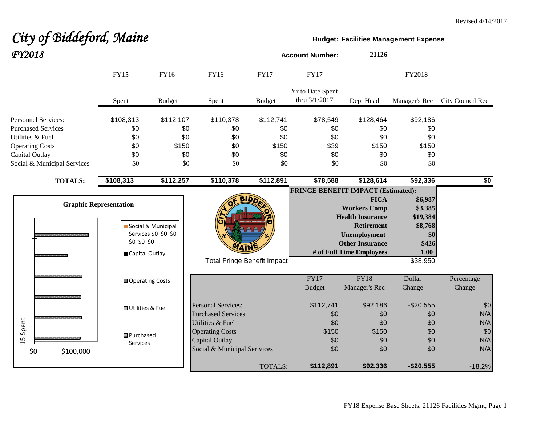# *City of Biddeford, Maine* **Budget: Budget:** Facilities Management Expense *FY2018* **Account Number: <sup>21126</sup>**

|                                                                                                                                                        | <b>FY15</b>                                                    | FY16                                           | <b>FY16</b>                                                                                  | <b>FY17</b>                                    | <b>FY17</b>                                  |                                                                                                                                                                                                              | FY2018                                                                        |                          |
|--------------------------------------------------------------------------------------------------------------------------------------------------------|----------------------------------------------------------------|------------------------------------------------|----------------------------------------------------------------------------------------------|------------------------------------------------|----------------------------------------------|--------------------------------------------------------------------------------------------------------------------------------------------------------------------------------------------------------------|-------------------------------------------------------------------------------|--------------------------|
|                                                                                                                                                        | Spent                                                          | <b>Budget</b>                                  | Spent                                                                                        | <b>Budget</b>                                  | Yr to Date Spent<br>thru 3/1/2017            | Dept Head                                                                                                                                                                                                    | Manager's Rec                                                                 | City Council Rec         |
| <b>Personnel Services:</b><br><b>Purchased Services</b><br>Utilities & Fuel<br><b>Operating Costs</b><br>Capital Outlay<br>Social & Municipal Services | \$108,313<br>\$0<br>\$0<br>\$0<br>\$0<br>\$0                   | \$112,107<br>\$0<br>\$0<br>\$150<br>\$0<br>\$0 | \$110,378<br>\$0<br>\$0<br>\$0<br>\$0<br>\$0                                                 | \$112,741<br>\$0<br>\$0<br>\$150<br>\$0<br>\$0 | \$78,549<br>\$0<br>\$0<br>\$39<br>\$0<br>\$0 | \$128,464<br>\$0<br>\$0<br>\$150<br>\$0<br>\$0                                                                                                                                                               | \$92,186<br>\$0<br>\$0<br>\$150<br>\$0<br>\$0                                 |                          |
| <b>TOTALS:</b>                                                                                                                                         | \$108,313                                                      | \$112,257                                      | \$110,378                                                                                    | \$112,891                                      | \$78,588                                     | \$128,614                                                                                                                                                                                                    | \$92,336                                                                      | \$0                      |
|                                                                                                                                                        | <b>Graphic Representation</b><br>\$0 \$0 \$0<br>Capital Outlay | Social & Municipal<br>Services \$0 \$0 \$0     | <b>BIDD</b><br><b>Total Fringe Benefit Impact</b>                                            |                                                |                                              | <b>FRINGE BENEFIT IMPACT (Estimated):</b><br><b>FICA</b><br><b>Workers Comp</b><br><b>Health Insurance</b><br><b>Retirement</b><br><b>Unemployment</b><br><b>Other Insurance</b><br># of Full Time Employees | \$6,987<br>\$3,385<br>\$19,384<br>\$8,768<br>\$0<br>\$426<br>1.00<br>\$38,950 |                          |
|                                                                                                                                                        | <b>□ Operating Costs</b>                                       |                                                |                                                                                              |                                                | FY17<br><b>Budget</b>                        | FY18<br>Manager's Rec                                                                                                                                                                                        | Dollar<br>Change                                                              | Percentage<br>Change     |
|                                                                                                                                                        | <b>□</b> Utilities & Fuel                                      |                                                | <b>Personal Services:</b><br><b>Purchased Services</b>                                       |                                                | \$112,741<br>\$0                             | \$92,186<br>\$0                                                                                                                                                                                              | $-$20,555$<br>\$0                                                             | \$0<br>N/A               |
| Spent<br>15<br>\$0<br>\$100,000                                                                                                                        | <b>B</b> Purchased<br>Services                                 |                                                | Utilities & Fuel<br><b>Operating Costs</b><br>Capital Outlay<br>Social & Municipal Serivices |                                                | \$0<br>\$150<br>\$0<br>\$0                   | \$0<br>\$150<br>\$0<br>\$0                                                                                                                                                                                   | \$0<br>\$0<br>\$0<br>\$0                                                      | N/A<br>\$0<br>N/A<br>N/A |
|                                                                                                                                                        |                                                                |                                                |                                                                                              | <b>TOTALS:</b>                                 | \$112,891                                    | \$92,336                                                                                                                                                                                                     | $-$20,555$                                                                    | $-18.2%$                 |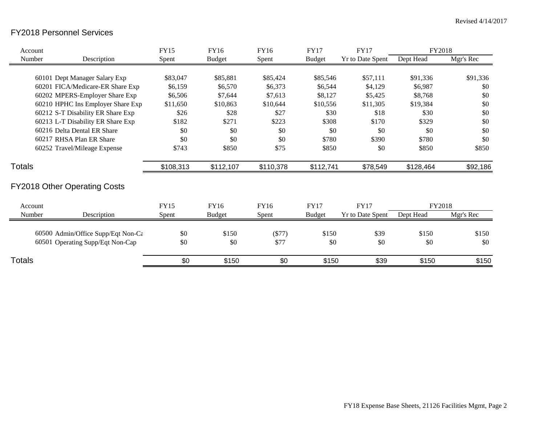## FY2018 Personnel Services

| Account       |                                     | <b>FY15</b> | FY16          | FY16      | <b>FY17</b>   | <b>FY17</b>             | FY2018    |           |
|---------------|-------------------------------------|-------------|---------------|-----------|---------------|-------------------------|-----------|-----------|
| Number        | Description                         | Spent       | <b>Budget</b> | Spent     | <b>Budget</b> | <b>Yr to Date Spent</b> | Dept Head | Mgr's Rec |
|               |                                     |             |               |           |               |                         |           |           |
|               | 60101 Dept Manager Salary Exp       | \$83,047    | \$85,881      | \$85,424  | \$85,546      | \$57,111                | \$91,336  | \$91,336  |
|               | 60201 FICA/Medicare-ER Share Exp    | \$6,159     | \$6,570       | \$6,373   | \$6,544       | \$4,129                 | \$6,987   | \$0       |
|               | 60202 MPERS-Employer Share Exp      | \$6,506     | \$7,644       | \$7,613   | \$8,127       | \$5,425                 | \$8,768   | \$0       |
|               | 60210 HPHC Ins Employer Share Exp   | \$11,650    | \$10,863      | \$10,644  | \$10,556      | \$11,305                | \$19,384  | \$0       |
|               | 60212 S-T Disability ER Share Exp   | \$26        | \$28          | \$27      | \$30          | \$18                    | \$30      | \$0       |
|               | 60213 L-T Disability ER Share Exp   | \$182       | \$271         | \$223     | \$308         | \$170                   | \$329     | \$0       |
|               | 60216 Delta Dental ER Share         | \$0         | \$0           | \$0       | \$0           | \$0                     | \$0       | \$0       |
|               | 60217 RHSA Plan ER Share            | \$0         | \$0           | \$0       | \$780         | \$390                   | \$780     | \$0       |
|               | 60252 Travel/Mileage Expense        | \$743       | \$850         | \$75      | \$850         | \$0                     | \$850     | \$850     |
| <b>Totals</b> |                                     | \$108,313   | \$112,107     | \$110,378 | \$112,741     | \$78,549                | \$128,464 | \$92,186  |
|               | <b>FY2018 Other Operating Costs</b> |             |               |           |               |                         |           |           |
| Account       |                                     | FY15        | FY16          | FY16      | <b>FY17</b>   | <b>FY17</b>             | FY2018    |           |
| Number        | Description                         | Spent       | Budget        | Spent     | <b>Budget</b> | <b>Yr to Date Spent</b> | Dept Head | Mgr's Rec |
|               | 60500 Admin/Office Supp/Eqt Non-Ca  | \$0         | \$150         | $(\$77)$  | \$150         | \$39                    | \$150     | \$150     |
|               | 60501 Operating Supp/Eqt Non-Cap    | \$0         | \$0           | \$77      | \$0           | \$0                     | \$0       | \$0       |
| <b>Totals</b> |                                     | \$0         | \$150         | \$0       | \$150         | \$39                    | \$150     | \$150     |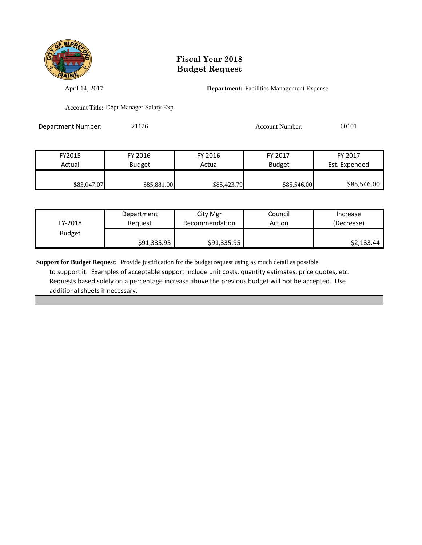

April 14, 2017 **Department:** Facilities Management Expense

Account Title: Dept Manager Salary Exp

Department Number: 21126 21126 Account Number: 60101

| FY2015      | FY 2016       | FY 2016     | FY 2017       | FY 2017       |
|-------------|---------------|-------------|---------------|---------------|
| Actual      | <b>Budget</b> | Actual      | <b>Budget</b> | Est. Expended |
|             |               |             |               |               |
| \$83,047.07 | \$85,881.00   | \$85,423.79 | \$85,546.00   | \$85,546.00   |

| FY-2018       | Department  | City Mgr       | Council | Increase   |
|---------------|-------------|----------------|---------|------------|
|               | Reauest     | Recommendation | Action  | (Decrease) |
| <b>Budget</b> | \$91,335.95 | \$91,335.95    |         | \$2,133.44 |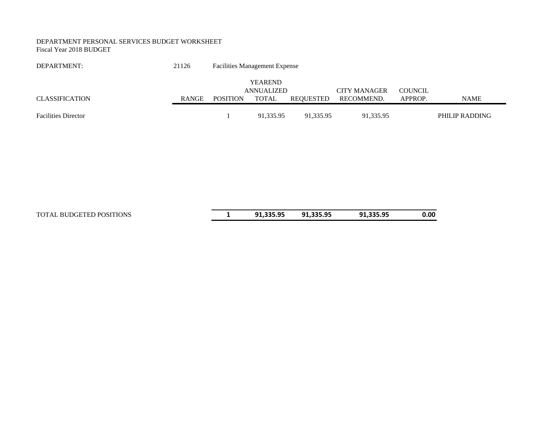#### DEPARTMENT PERSONAL SERVICES BUDGET WORKSHEET Fiscal Year 2018 BUDGET

| DEPARTMENT:                | 21126        | <b>Facilities Management Expense</b> |                |           |                     |                |                |
|----------------------------|--------------|--------------------------------------|----------------|-----------|---------------------|----------------|----------------|
|                            |              |                                      | <b>YEAREND</b> |           |                     |                |                |
|                            |              |                                      | ANNUALIZED     |           | <b>CITY MANAGER</b> | <b>COUNCIL</b> |                |
| <b>CLASSIFICATION</b>      | <b>RANGE</b> | <b>POSITION</b>                      | <b>TOTAL</b>   | REOUESTED | RECOMMEND.          | APPROP.        | <b>NAME</b>    |
| <b>Facilities Director</b> |              |                                      | 91.335.95      | 91,335.95 | 91,335.95           |                | PHILIP RADDING |

TOTAL BUDGETED POSITIONS **1 91,335.95 91,335.95 91,335.95 0.00**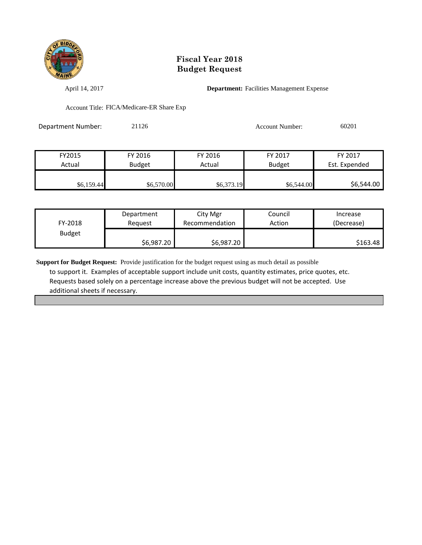

April 14, 2017 **Department:** Facilities Management Expense

Account Title: FICA/Medicare-ER Share Exp

Department Number: 21126 21126 Account Number: 60201

| FY2015     | FY 2016       | FY 2016    | FY 2017       | FY 2017       |
|------------|---------------|------------|---------------|---------------|
| Actual     | <b>Budget</b> | Actual     | <b>Budget</b> | Est. Expended |
|            |               |            |               |               |
| \$6,159.44 | \$6,570.00    | \$6,373.19 | \$6,544.00    | \$6,544.00    |

| FY-2018       | Department | City Mgr       | Council | Increase   |
|---------------|------------|----------------|---------|------------|
|               | Reauest    | Recommendation | Action  | (Decrease) |
| <b>Budget</b> | \$6,987.20 | \$6,987.20     |         | \$163.48   |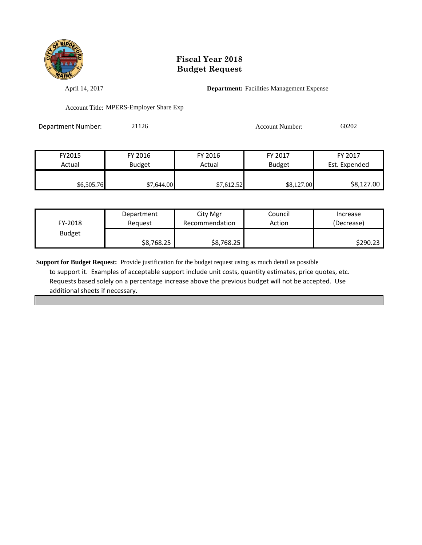

April 14, 2017 **Department:** Facilities Management Expense

Account Title: MPERS-Employer Share Exp

| Department Number: | 21126 | <b>Account Number:</b> | 60202 |
|--------------------|-------|------------------------|-------|
|                    |       |                        |       |

| FY2015     | FY 2016       | FY 2016    | FY 2017       | FY 2017       |
|------------|---------------|------------|---------------|---------------|
| Actual     | <b>Budget</b> | Actual     | <b>Budget</b> | Est. Expended |
|            |               |            |               |               |
| \$6,505.76 | \$7,644.00    | \$7,612.52 | \$8,127.00    | \$8,127.00    |

| FY-2018       | Department | City Mgr       | Council | Increase   |
|---------------|------------|----------------|---------|------------|
|               | Reguest    | Recommendation | Action  | (Decrease) |
| <b>Budget</b> | \$8,768.25 | \$8,768.25     |         | \$290.23   |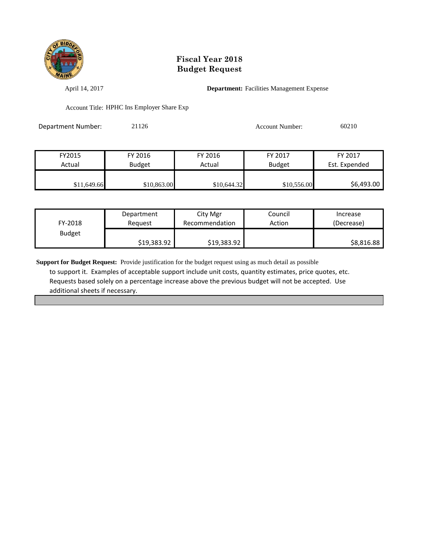

April 14, 2017 **Department:** Facilities Management Expense

Account Title: HPHC Ins Employer Share Exp

| Department Number: | 21126 | <b>Account Number:</b> | 60210 |
|--------------------|-------|------------------------|-------|
|                    |       |                        |       |

| FY2015      | FY 2016       | FY 2016     | FY 2017       | FY 2017       |
|-------------|---------------|-------------|---------------|---------------|
| Actual      | <b>Budget</b> | Actual      | <b>Budget</b> | Est. Expended |
|             |               |             |               |               |
| \$11,649.66 | \$10,863.00   | \$10,644.32 | \$10,556.00   | \$6,493.00    |

| FY-2018       | Department  | City Mgr       | Council | Increase   |
|---------------|-------------|----------------|---------|------------|
|               | Reauest     | Recommendation | Action  | (Decrease) |
| <b>Budget</b> | \$19,383.92 | \$19,383.92    |         | \$8,816.88 |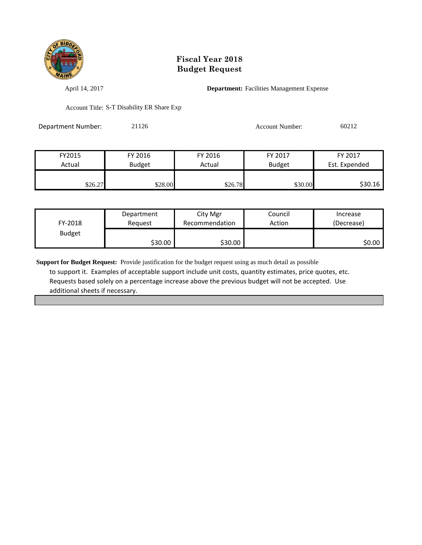

April 14, 2017 **Department:** Facilities Management Expense

Account Title: S-T Disability ER Share Exp

Department Number: 21126 21126 Account Number: 60212

| FY2015  | FY 2016       | FY 2016 | FY 2017       | FY 2017       |
|---------|---------------|---------|---------------|---------------|
| Actual  | <b>Budget</b> | Actual  | <b>Budget</b> | Est. Expended |
|         |               |         |               |               |
| \$26.27 | \$28.00       | \$26.78 | \$30.00       | \$30.16       |

| FY-2018       | Department | City Mgr       | Council | Increase   |
|---------------|------------|----------------|---------|------------|
|               | Reguest    | Recommendation | Action  | (Decrease) |
| <b>Budget</b> | \$30.00    | \$30.00        |         | \$0.00     |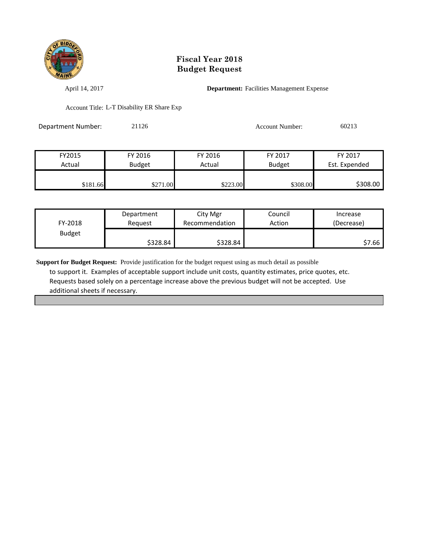

April 14, 2017 **Department:** Facilities Management Expense

Account Title: L-T Disability ER Share Exp

Department Number: 21126 21126 Account Number: 60213

| FY2015   | FY 2016       | FY 2016  | FY 2017       | FY 2017       |
|----------|---------------|----------|---------------|---------------|
| Actual   | <b>Budget</b> | Actual   | <b>Budget</b> | Est. Expended |
|          |               |          |               |               |
| \$181.66 | \$271.00      | \$223.00 | \$308.00      | \$308.00      |

| FY-2018       | Department | City Mgr       | Council | Increase   |
|---------------|------------|----------------|---------|------------|
|               | Reguest    | Recommendation | Action  | (Decrease) |
| <b>Budget</b> | \$328.84   | \$328.84       |         | \$7.66     |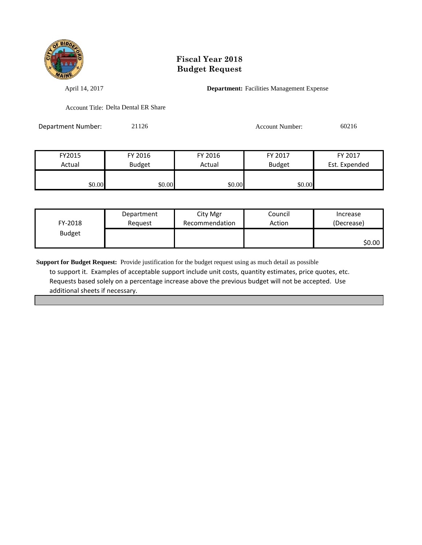

April 14, 2017 **Department:** Facilities Management Expense

Account Title: Delta Dental ER Share

Department Number: 21126 21126 Account Number: 60216

| FY2015 | FY 2016       | FY 2016 | FY 2017       | FY 2017       |
|--------|---------------|---------|---------------|---------------|
| Actual | <b>Budget</b> | Actual  | <b>Budget</b> | Est. Expended |
|        |               |         |               |               |
| \$0.00 | \$0.00        | \$0.00  | \$0.00        |               |

| FY-2018       | Department | City Mgr       | Council | Increase   |
|---------------|------------|----------------|---------|------------|
|               | Reguest    | Recommendation | Action  | (Decrease) |
| <b>Budget</b> |            |                |         | \$0.00     |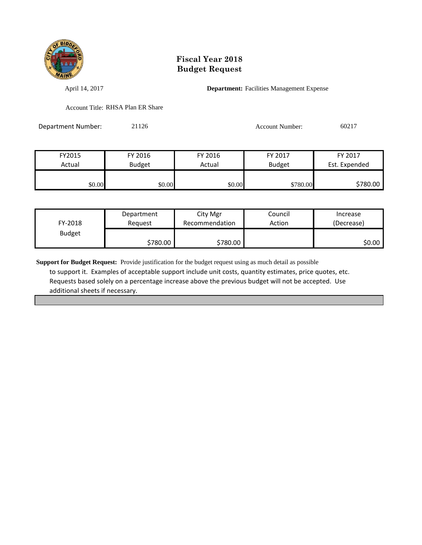

April 14, 2017 **Department:** Facilities Management Expense

Account Title: RHSA Plan ER Share

Department Number: 21126 21126 Account Number: 60217

| FY2015 | FY 2016       | FY 2016 | FY 2017       | FY 2017       |
|--------|---------------|---------|---------------|---------------|
| Actual | <b>Budget</b> | Actual  | <b>Budget</b> | Est. Expended |
|        |               |         |               |               |
| \$0.00 | \$0.00        | \$0.00  | \$780.00      | \$780.00      |

| FY-2018       | Department | City Mgr       | Council | Increase   |
|---------------|------------|----------------|---------|------------|
|               | Reauest    | Recommendation | Action  | (Decrease) |
| <b>Budget</b> | \$780.00   | \$780.00       |         | \$0.00     |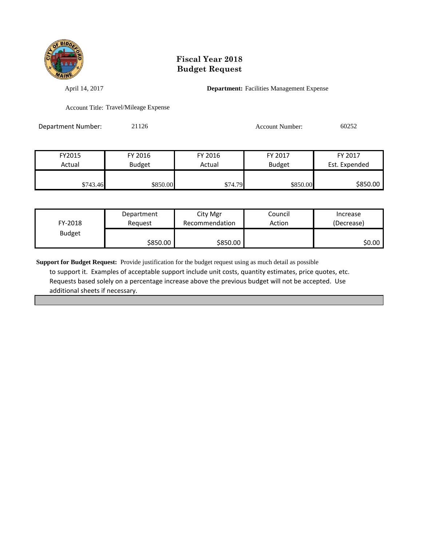

April 14, 2017 **Department:** Facilities Management Expense

Account Title: Travel/Mileage Expense

Department Number: 21126 21126 Account Number: 60252

| FY2015   | FY 2016       | FY 2016 | FY 2017       | FY 2017       |
|----------|---------------|---------|---------------|---------------|
| Actual   | <b>Budget</b> | Actual  | <b>Budget</b> | Est. Expended |
|          |               |         |               |               |
| \$743.46 | \$850.00      | \$74.79 | \$850.00      | \$850.00      |

| FY-2018       | Department | City Mgr       | Council | Increase   |
|---------------|------------|----------------|---------|------------|
|               | Reauest    | Recommendation | Action  | (Decrease) |
| <b>Budget</b> | \$850.00   | \$850.00       |         | \$0.00     |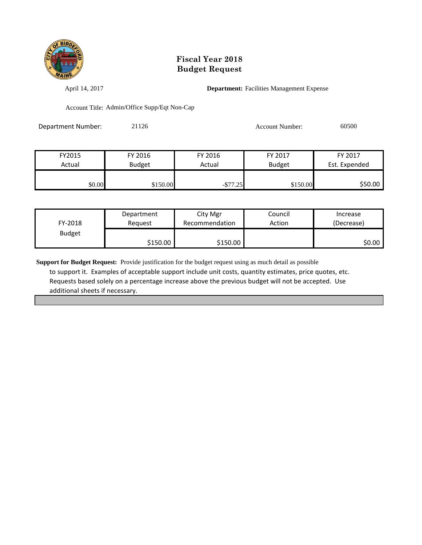

April 14, 2017 **Department:** Facilities Management Expense

Account Title: Admin/Office Supp/Eqt Non-Cap

| Department Number: | 21126 | Account Number: | 60500 |
|--------------------|-------|-----------------|-------|
|                    |       |                 |       |

| FY2015 | FY 2016       | FY 2016     | FY 2017       | FY 2017       |
|--------|---------------|-------------|---------------|---------------|
| Actual | <b>Budget</b> | Actual      | <b>Budget</b> | Est. Expended |
|        |               |             |               |               |
| \$0.00 | \$150.00      | $-$ \$77.25 | \$150.00      | \$50.00       |

| FY-2018       | Department | City Mgr       | Council | Increase   |
|---------------|------------|----------------|---------|------------|
|               | Reguest    | Recommendation | Action  | (Decrease) |
| <b>Budget</b> | \$150.00 l | \$150.00       |         | \$0.00     |